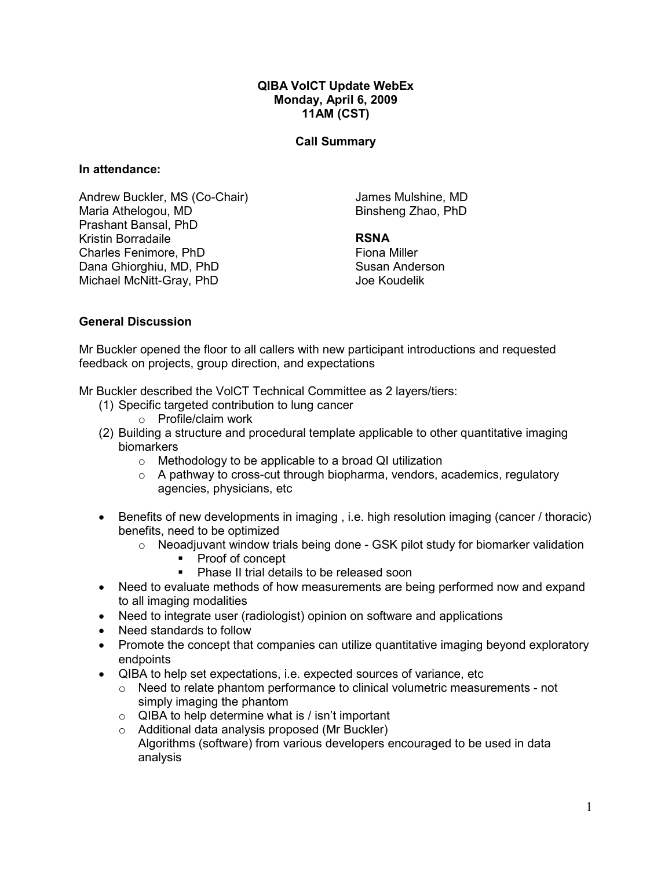#### QIBA VolCT Update WebEx Monday, April 6, 2009 11AM (CST)

#### Call Summary

#### In attendance:

Andrew Buckler, MS (Co-Chair) Maria Athelogou, MD Prashant Bansal, PhD Kristin Borradaile Charles Fenimore, PhD Dana Ghiorghiu, MD, PhD Michael McNitt-Gray, PhD

James Mulshine, MD Binsheng Zhao, PhD

# RSNA

Fiona Miller Susan Anderson Joe Koudelik

#### General Discussion

Mr Buckler opened the floor to all callers with new participant introductions and requested feedback on projects, group direction, and expectations

Mr Buckler described the VolCT Technical Committee as 2 layers/tiers:

- (1) Specific targeted contribution to lung cancer
	- o Profile/claim work
- (2) Building a structure and procedural template applicable to other quantitative imaging biomarkers
	- o Methodology to be applicable to a broad QI utilization
	- $\circ$  A pathway to cross-cut through biopharma, vendors, academics, regulatory agencies, physicians, etc
- Benefits of new developments in imaging, i.e. high resolution imaging (cancer / thoracic) benefits, need to be optimized
	- $\circ$  Neoadjuvant window trials being done GSK pilot study for biomarker validation
		- Proof of concept
		- **Phase II trial details to be released soon**
- Need to evaluate methods of how measurements are being performed now and expand to all imaging modalities
- Need to integrate user (radiologist) opinion on software and applications
- Need standards to follow
- Promote the concept that companies can utilize quantitative imaging beyond exploratory endpoints
- QIBA to help set expectations, i.e. expected sources of variance, etc
	- o Need to relate phantom performance to clinical volumetric measurements not simply imaging the phantom
	- $\circ$  QIBA to help determine what is / isn't important
	- o Additional data analysis proposed (Mr Buckler) Algorithms (software) from various developers encouraged to be used in data analysis